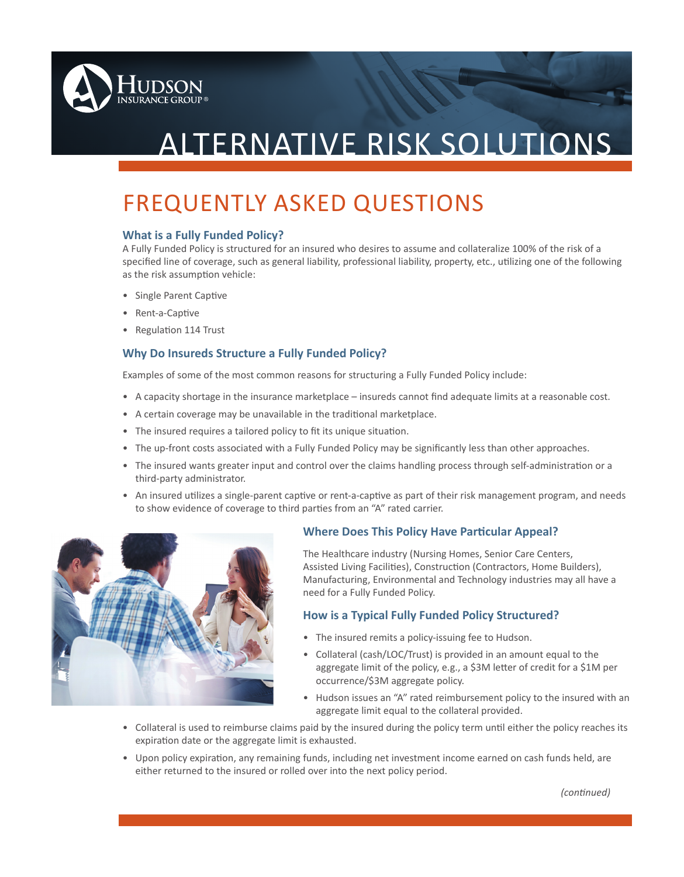

# ALTERNATIVE RISK SOLUTIONS

# FREQUENTLY ASKED QUESTIONS

### **What is a Fully Funded Policy?**

A Fully Funded Policy is structured for an insured who desires to assume and collateralize 100% of the risk of a specified line of coverage, such as general liability, professional liability, property, etc., utilizing one of the following as the risk assumption vehicle:

- Single Parent Captive
- Rent-a-Captive
- Regulation 114 Trust

## **Why Do Insureds Structure a Fully Funded Policy?**

Examples of some of the most common reasons for structuring a Fully Funded Policy include:

- A capacity shortage in the insurance marketplace insureds cannot find adequate limits at a reasonable cost.
- A certain coverage may be unavailable in the traditional marketplace.
- The insured requires a tailored policy to fit its unique situation.
- The up-front costs associated with a Fully Funded Policy may be significantly less than other approaches.
- The insured wants greater input and control over the claims handling process through self-administration or a third-party administrator.
- An insured utilizes a single-parent captive or rent-a-captive as part of their risk management program, and needs to show evidence of coverage to third parties from an "A" rated carrier.



# **Where Does This Policy Have Particular Appeal?**

The Healthcare industry (Nursing Homes, Senior Care Centers, Assisted Living Facilities), Construction (Contractors, Home Builders), Manufacturing, Environmental and Technology industries may all have a need for a Fully Funded Policy.

# **How is a Typical Fully Funded Policy Structured?**

- The insured remits a policy-issuing fee to Hudson.
- Collateral (cash/LOC/Trust) is provided in an amount equal to the aggregate limit of the policy, e.g., a \$3M letter of credit for a \$1M per occurrence/\$3M aggregate policy.
- Hudson issues an "A" rated reimbursement policy to the insured with an aggregate limit equal to the collateral provided.
- Collateral is used to reimburse claims paid by the insured during the policy term until either the policy reaches its expiration date or the aggregate limit is exhausted.
- Upon policy expiration, any remaining funds, including net investment income earned on cash funds held, are either returned to the insured or rolled over into the next policy period.

*(continued)*